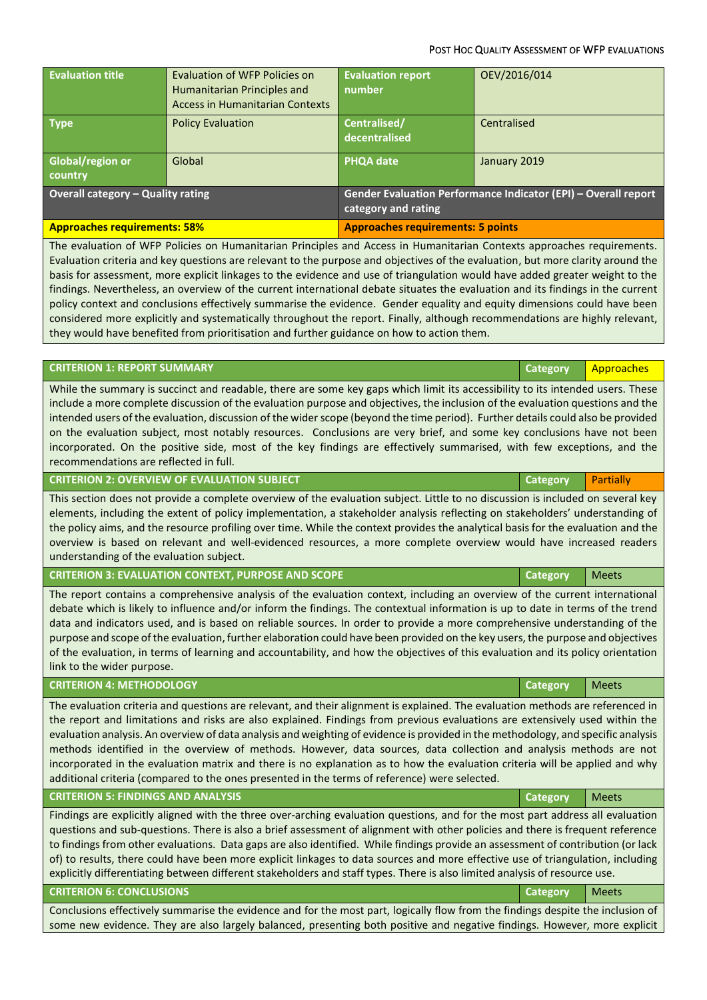## POST HOC QUALITY ASSESSMENT OF WFP EVALUATIONS

| <b>Evaluation title</b>                  | <b>Evaluation of WFP Policies on</b><br>Humanitarian Principles and<br>Access in Humanitarian Contexts | <b>Evaluation report</b><br>number                                                    | OEV/2016/014 |
|------------------------------------------|--------------------------------------------------------------------------------------------------------|---------------------------------------------------------------------------------------|--------------|
| <b>Type</b>                              | <b>Policy Evaluation</b>                                                                               | Centralised/<br>decentralised                                                         | Centralised  |
| Global/region or<br>country              | Global                                                                                                 | <b>PHQA date</b>                                                                      | January 2019 |
| <b>Overall category - Quality rating</b> |                                                                                                        | Gender Evaluation Performance Indicator (EPI) - Overall report<br>category and rating |              |
| <b>Approaches requirements: 58%</b>      |                                                                                                        | <b>Approaches requirements: 5 points</b>                                              |              |

The evaluation of WFP Policies on Humanitarian Principles and Access in Humanitarian Contexts approaches requirements. Evaluation criteria and key questions are relevant to the purpose and objectives of the evaluation, but more clarity around the basis for assessment, more explicit linkages to the evidence and use of triangulation would have added greater weight to the findings. Nevertheless, an overview of the current international debate situates the evaluation and its findings in the current policy context and conclusions effectively summarise the evidence. Gender equality and equity dimensions could have been considered more explicitly and systematically throughout the report. Finally, although recommendations are highly relevant, they would have benefited from prioritisation and further guidance on how to action them.

## **CRITERION 1: REPORT SUMMARY Category** Approaches

While the summary is succinct and readable, there are some key gaps which limit its accessibility to its intended users. These include a more complete discussion of the evaluation purpose and objectives, the inclusion of the evaluation questions and the intended users of the evaluation, discussion of the wider scope (beyond the time period). Further details could also be provided on the evaluation subject, most notably resources. Conclusions are very brief, and some key conclusions have not been incorporated. On the positive side, most of the key findings are effectively summarised, with few exceptions, and the recommendations are reflected in full.

**CRITERION 2: OVERVIEW OF EVALUATION SUBJECT <b>CRITERION 2: OVERVIEW OF EVALUATION SUBJECT** 

This section does not provide a complete overview of the evaluation subject. Little to no discussion is included on several key elements, including the extent of policy implementation, a stakeholder analysis reflecting on stakeholders' understanding of the policy aims, and the resource profiling over time. While the context provides the analytical basis for the evaluation and the overview is based on relevant and well-evidenced resources, a more complete overview would have increased readers understanding of the evaluation subject.

**CRITERION 3: EVALUATION CONTEXT, PURPOSE AND SCOPE <b>CALCES AND SCOPE Category** Meets

The report contains a comprehensive analysis of the evaluation context, including an overview of the current international debate which is likely to influence and/or inform the findings. The contextual information is up to date in terms of the trend data and indicators used, and is based on reliable sources. In order to provide a more comprehensive understanding of the purpose and scope of the evaluation, further elaboration could have been provided on the key users, the purpose and objectives of the evaluation, in terms of learning and accountability, and how the objectives of this evaluation and its policy orientation link to the wider purpose.

## **CRITERION 4: METHODOLOGY CALCER ACCESS OF A SECOND ACCESS OF A SECOND ACCESS OF A SECOND ACCESS OF A SECOND ACCESS OF A SECOND ACCESS OF A SECOND ACCESS OF A SECOND ACCESS OF A SECOND ACCESS OF A SECOND ACCESS OF A SECO**

The evaluation criteria and questions are relevant, and their alignment is explained. The evaluation methods are referenced in the report and limitations and risks are also explained. Findings from previous evaluations are extensively used within the evaluation analysis. An overview of data analysis and weighting of evidence is provided in the methodology, and specific analysis methods identified in the overview of methods. However, data sources, data collection and analysis methods are not incorporated in the evaluation matrix and there is no explanation as to how the evaluation criteria will be applied and why additional criteria (compared to the ones presented in the terms of reference) were selected.

## **CRITERION 5: FINDINGS AND ANALYSIS Category** Meets

Findings are explicitly aligned with the three over-arching evaluation questions, and for the most part address all evaluation questions and sub-questions. There is also a brief assessment of alignment with other policies and there is frequent reference to findings from other evaluations. Data gaps are also identified. While findings provide an assessment of contribution (or lack of) to results, there could have been more explicit linkages to data sources and more effective use of triangulation, including explicitly differentiating between different stakeholders and staff types. There is also limited analysis of resource use.

## **CRITERION 6: CONCLUSIONS Category** Meets

Conclusions effectively summarise the evidence and for the most part, logically flow from the findings despite the inclusion of some new evidence. They are also largely balanced, presenting both positive and negative findings. However, more explicit